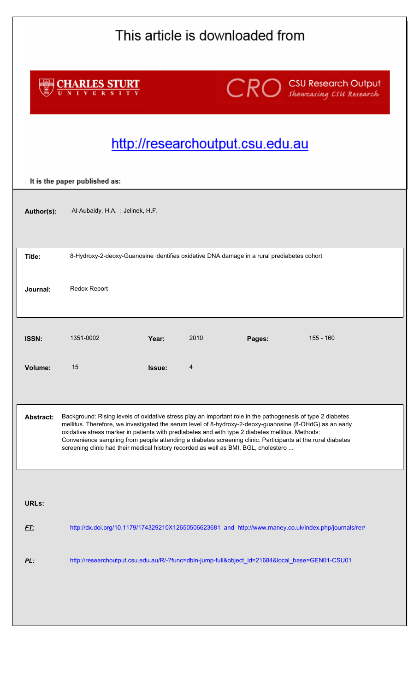| This article is downloaded from                                                                                                                                                                                                                                                                                                                                                                                                                                                                                                                      |                                                                                                 |        |      |                                  |                                                                                                       |  |  |  |
|------------------------------------------------------------------------------------------------------------------------------------------------------------------------------------------------------------------------------------------------------------------------------------------------------------------------------------------------------------------------------------------------------------------------------------------------------------------------------------------------------------------------------------------------------|-------------------------------------------------------------------------------------------------|--------|------|----------------------------------|-------------------------------------------------------------------------------------------------------|--|--|--|
| <b>CHARLES STURT</b>                                                                                                                                                                                                                                                                                                                                                                                                                                                                                                                                 |                                                                                                 |        |      |                                  | <b>CRO</b> Showcasing CSU Research Output                                                             |  |  |  |
|                                                                                                                                                                                                                                                                                                                                                                                                                                                                                                                                                      |                                                                                                 |        |      | http://researchoutput.csu.edu.au |                                                                                                       |  |  |  |
| It is the paper published as:                                                                                                                                                                                                                                                                                                                                                                                                                                                                                                                        |                                                                                                 |        |      |                                  |                                                                                                       |  |  |  |
| Author(s):                                                                                                                                                                                                                                                                                                                                                                                                                                                                                                                                           | Al-Aubaidy, H.A.; Jelinek, H.F.                                                                 |        |      |                                  |                                                                                                       |  |  |  |
| Title:                                                                                                                                                                                                                                                                                                                                                                                                                                                                                                                                               | 8-Hydroxy-2-deoxy-Guanosine identifies oxidative DNA damage in a rural prediabetes cohort       |        |      |                                  |                                                                                                       |  |  |  |
| Journal:                                                                                                                                                                                                                                                                                                                                                                                                                                                                                                                                             | Redox Report                                                                                    |        |      |                                  |                                                                                                       |  |  |  |
| ISSN:                                                                                                                                                                                                                                                                                                                                                                                                                                                                                                                                                | 1351-0002                                                                                       | Year:  | 2010 | Pages:                           | $155 - 160$                                                                                           |  |  |  |
| Volume:                                                                                                                                                                                                                                                                                                                                                                                                                                                                                                                                              | 15                                                                                              | Issue: | 4    |                                  |                                                                                                       |  |  |  |
| Background: Rising levels of oxidative stress play an important role in the pathogenesis of type 2 diabetes<br><b>Abstract:</b><br>mellitus. Therefore, we investigated the serum level of 8-hydroxy-2-deoxy-guanosine (8-OHdG) as an early<br>oxidative stress marker in patients with prediabetes and with type 2 diabetes mellitus. Methods:<br>Convenience sampling from people attending a diabetes screening clinic. Participants at the rural diabetes<br>screening clinic had their medical history recorded as well as BMI, BGL, cholestero |                                                                                                 |        |      |                                  |                                                                                                       |  |  |  |
|                                                                                                                                                                                                                                                                                                                                                                                                                                                                                                                                                      |                                                                                                 |        |      |                                  |                                                                                                       |  |  |  |
| <b>URLs:</b>                                                                                                                                                                                                                                                                                                                                                                                                                                                                                                                                         |                                                                                                 |        |      |                                  |                                                                                                       |  |  |  |
| <b>FT:</b>                                                                                                                                                                                                                                                                                                                                                                                                                                                                                                                                           |                                                                                                 |        |      |                                  | http://dx.doi.org/10.1179/174329210X12650506623681 and http://www.maney.co.uk/index.php/journals/rer/ |  |  |  |
| PL:                                                                                                                                                                                                                                                                                                                                                                                                                                                                                                                                                  | http://researchoutput.csu.edu.au/R/-?func=dbin-jump-full&object_id=21684&local_base=GEN01-CSU01 |        |      |                                  |                                                                                                       |  |  |  |
|                                                                                                                                                                                                                                                                                                                                                                                                                                                                                                                                                      |                                                                                                 |        |      |                                  |                                                                                                       |  |  |  |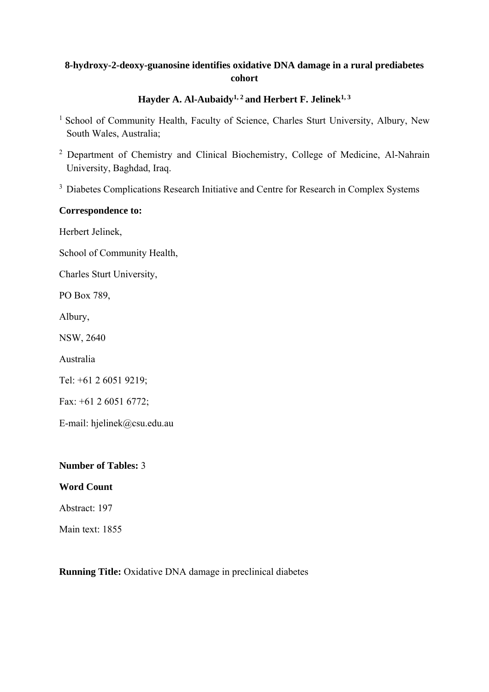# **8-hydroxy-2-deoxy-guanosine identifies oxidative DNA damage in a rural prediabetes cohort**

# Hayder A. Al-Aubaidy<sup>1, 2</sup> and Herbert F. Jelinek<sup>1, 3</sup>

- <sup>1</sup> School of Community Health, Faculty of Science, Charles Sturt University, Albury, New South Wales, Australia;
- <sup>2</sup> Department of Chemistry and Clinical Biochemistry, College of Medicine, Al-Nahrain University, Baghdad, Iraq.
- <sup>3</sup> Diabetes Complications Research Initiative and Centre for Research in Complex Systems

## **Correspondence to:**

Herbert Jelinek,

School of Community Health,

Charles Sturt University,

PO Box 789,

Albury,

NSW, 2640

Australia

Tel: +61 2 6051 9219;

Fax: +61 2 6051 6772;

E-mail: hjelinek@csu.edu.au

### **Number of Tables:** 3

### **Word Count**

Abstract: 197

Main text: 1855

**Running Title:** Oxidative DNA damage in preclinical diabetes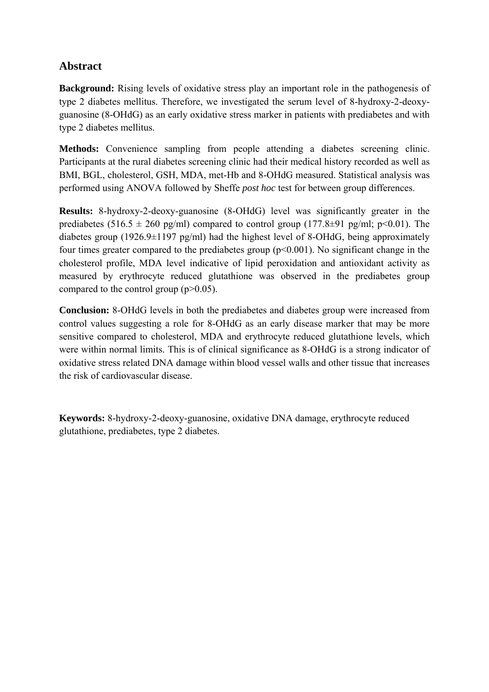# **Abstract**

**Background:** Rising levels of oxidative stress play an important role in the pathogenesis of type 2 diabetes mellitus. Therefore, we investigated the serum level of 8-hydroxy-2-deoxyguanosine (8-OHdG) as an early oxidative stress marker in patients with prediabetes and with type 2 diabetes mellitus.

**Methods:** Convenience sampling from people attending a diabetes screening clinic. Participants at the rural diabetes screening clinic had their medical history recorded as well as BMI, BGL, cholesterol, GSH, MDA, met-Hb and 8-OHdG measured. Statistical analysis was performed using ANOVA followed by Sheffe *post hoc* test for between group differences.

**Results:** 8-hydroxy-2-deoxy-guanosine (8-OHdG) level was significantly greater in the prediabetes (516.5  $\pm$  260 pg/ml) compared to control group (177.8 $\pm$ 91 pg/ml; p<0.01). The diabetes group (1926.9 $\pm$ 1197 pg/ml) had the highest level of 8-OHdG, being approximately four times greater compared to the prediabetes group ( $p \le 0.001$ ). No significant change in the cholesterol profile, MDA level indicative of lipid peroxidation and antioxidant activity as measured by erythrocyte reduced glutathione was observed in the prediabetes group compared to the control group (p>0.05).

**Conclusion:** 8-OHdG levels in both the prediabetes and diabetes group were increased from control values suggesting a role for 8-OHdG as an early disease marker that may be more sensitive compared to cholesterol, MDA and erythrocyte reduced glutathione levels, which were within normal limits. This is of clinical significance as 8-OHdG is a strong indicator of oxidative stress related DNA damage within blood vessel walls and other tissue that increases the risk of cardiovascular disease.

**Keywords:** 8-hydroxy-2-deoxy-guanosine, oxidative DNA damage, erythrocyte reduced glutathione, prediabetes, type 2 diabetes.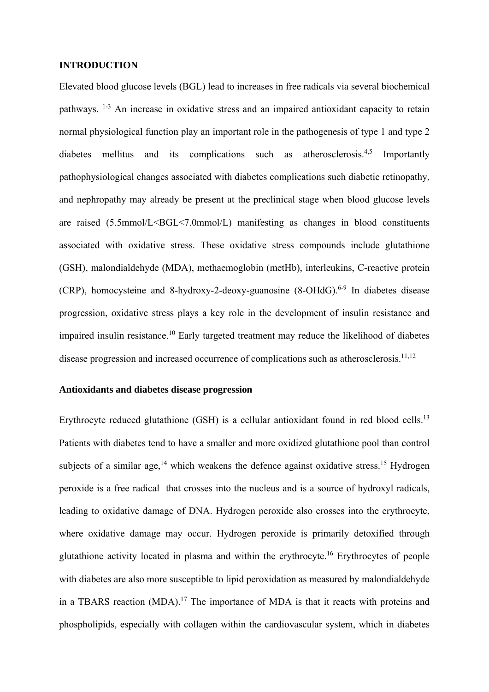### **INTRODUCTION**

Elevated blood glucose levels (BGL) lead to increases in free radicals via several biochemical pathways. 1-3 An increase in oxidative stress and an impaired antioxidant capacity to retain normal physiological function play an important role in the pathogenesis of type 1 and type 2 diabetes mellitus and its complications such as atherosclerosis.<sup>4,5</sup> Importantly pathophysiological changes associated with diabetes complications such diabetic retinopathy, and nephropathy may already be present at the preclinical stage when blood glucose levels are raised  $(5.5mmol/L < BGL < 7.0mmol/L)$  manifesting as changes in blood constituents associated with oxidative stress. These oxidative stress compounds include glutathione (GSH), malondialdehyde (MDA), methaemoglobin (metHb), interleukins, C-reactive protein (CRP), homocysteine and 8-hydroxy-2-deoxy-guanosine  $(8\text{-}OHdG)$ <sup>6-9</sup> In diabetes disease progression, oxidative stress plays a key role in the development of insulin resistance and impaired insulin resistance.<sup>10</sup> Early targeted treatment may reduce the likelihood of diabetes disease progression and increased occurrence of complications such as atherosclerosis.<sup>11,12</sup>

#### **Antioxidants and diabetes disease progression**

Erythrocyte reduced glutathione (GSH) is a cellular antioxidant found in red blood cells.<sup>13</sup> Patients with diabetes tend to have a smaller and more oxidized glutathione pool than control subjects of a similar age, $14$  which weakens the defence against oxidative stress.<sup>15</sup> Hydrogen peroxide is a free radical that crosses into the nucleus and is a source of hydroxyl radicals, leading to oxidative damage of DNA. Hydrogen peroxide also crosses into the erythrocyte, where oxidative damage may occur. Hydrogen peroxide is primarily detoxified through glutathione activity located in plasma and within the erythrocyte.16 Erythrocytes of people with diabetes are also more susceptible to lipid peroxidation as measured by malondialdehyde in a TBARS reaction  $(MDA)$ .<sup>17</sup> The importance of MDA is that it reacts with proteins and phospholipids, especially with collagen within the cardiovascular system, which in diabetes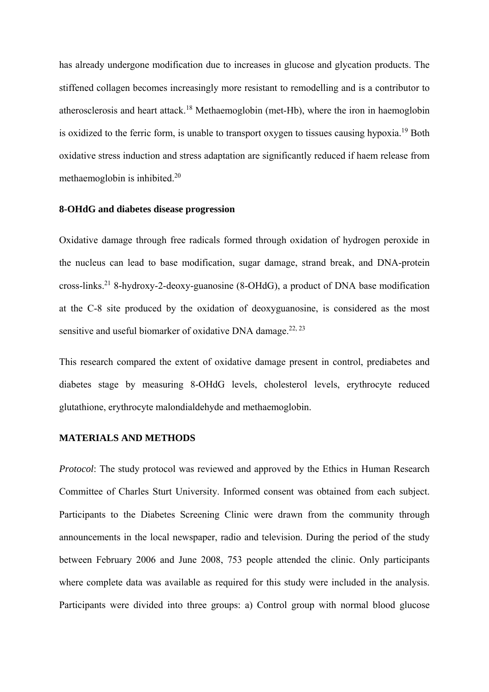has already undergone modification due to increases in glucose and glycation products. The stiffened collagen becomes increasingly more resistant to remodelling and is a contributor to atherosclerosis and heart attack.<sup>18</sup> Methaemoglobin (met-Hb), where the iron in haemoglobin is oxidized to the ferric form, is unable to transport oxygen to tissues causing hypoxia.19 Both oxidative stress induction and stress adaptation are significantly reduced if haem release from methaemoglobin is inhibited.20

#### **8-OHdG and diabetes disease progression**

Oxidative damage through free radicals formed through oxidation of hydrogen peroxide in the nucleus can lead to base modification, sugar damage, strand break, and DNA-protein cross-links.21 8-hydroxy-2-deoxy-guanosine (8-OHdG), a product of DNA base modification at the C-8 site produced by the oxidation of deoxyguanosine, is considered as the most sensitive and useful biomarker of oxidative DNA damage.<sup>22, 23</sup>

This research compared the extent of oxidative damage present in control, prediabetes and diabetes stage by measuring 8-OHdG levels, cholesterol levels, erythrocyte reduced glutathione, erythrocyte malondialdehyde and methaemoglobin.

### **MATERIALS AND METHODS**

*Protocol*: The study protocol was reviewed and approved by the Ethics in Human Research Committee of Charles Sturt University. Informed consent was obtained from each subject. Participants to the Diabetes Screening Clinic were drawn from the community through announcements in the local newspaper, radio and television. During the period of the study between February 2006 and June 2008, 753 people attended the clinic. Only participants where complete data was available as required for this study were included in the analysis. Participants were divided into three groups: a) Control group with normal blood glucose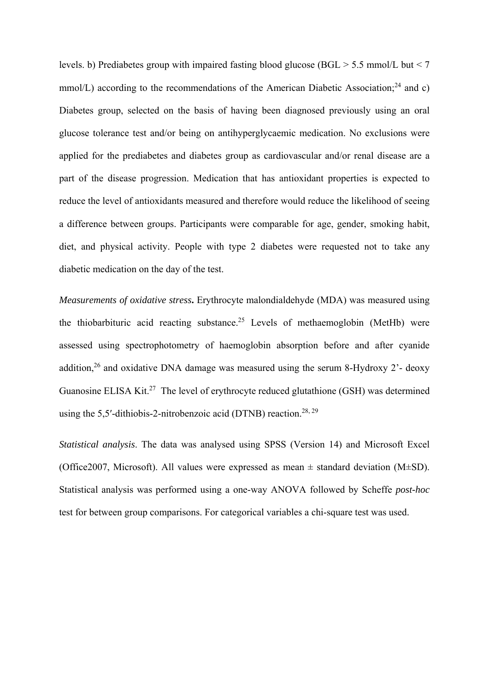levels. b) Prediabetes group with impaired fasting blood glucose (BGL > 5.5 mmol/L but < 7 mmol/L) according to the recommendations of the American Diabetic Association:<sup>24</sup> and c) Diabetes group, selected on the basis of having been diagnosed previously using an oral glucose tolerance test and/or being on antihyperglycaemic medication. No exclusions were applied for the prediabetes and diabetes group as cardiovascular and/or renal disease are a part of the disease progression. Medication that has antioxidant properties is expected to reduce the level of antioxidants measured and therefore would reduce the likelihood of seeing a difference between groups. Participants were comparable for age, gender, smoking habit, diet, and physical activity. People with type 2 diabetes were requested not to take any diabetic medication on the day of the test.

*Measurements of oxidative stress***.** Erythrocyte malondialdehyde (MDA) was measured using the thiobarbituric acid reacting substance.<sup>25</sup> Levels of methaemoglobin (MetHb) were assessed using spectrophotometry of haemoglobin absorption before and after cyanide addition,<sup>26</sup> and oxidative DNA damage was measured using the serum 8-Hydroxy 2<sup>2</sup>- deoxy Guanosine ELISA Kit.<sup>27</sup> The level of erythrocyte reduced glutathione (GSH) was determined using the 5,5′-dithiobis-2-nitrobenzoic acid (DTNB) reaction.<sup>28, 29</sup>

*Statistical analysis*. The data was analysed using SPSS (Version 14) and Microsoft Excel (Office2007, Microsoft). All values were expressed as mean  $\pm$  standard deviation (M $\pm$ SD). Statistical analysis was performed using a one-way ANOVA followed by Scheffe *post-hoc* test for between group comparisons. For categorical variables a chi-square test was used.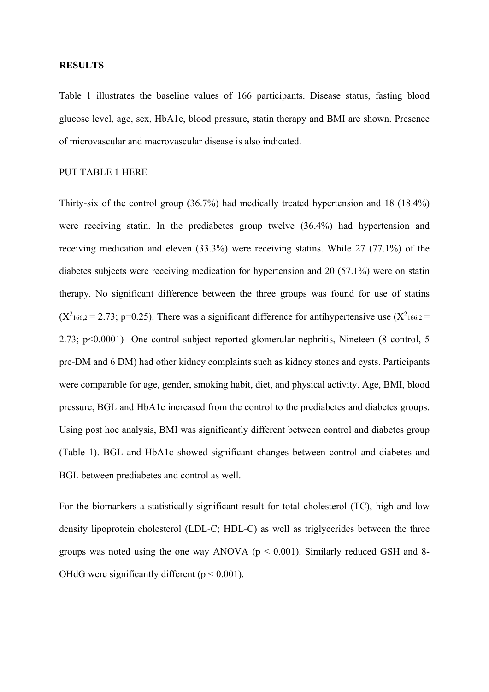#### **RESULTS**

Table 1 illustrates the baseline values of 166 participants. Disease status, fasting blood glucose level, age, sex, HbA1c, blood pressure, statin therapy and BMI are shown. Presence of microvascular and macrovascular disease is also indicated.

### PUT TABLE 1 HERE

Thirty-six of the control group (36.7%) had medically treated hypertension and 18 (18.4%) were receiving statin. In the prediabetes group twelve (36.4%) had hypertension and receiving medication and eleven (33.3%) were receiving statins. While 27 (77.1%) of the diabetes subjects were receiving medication for hypertension and 20 (57.1%) were on statin therapy. No significant difference between the three groups was found for use of statins  $(X^2_{166,2} = 2.73; p=0.25)$ . There was a significant difference for antihypertensive use  $(X^2_{166,2} =$ 2.73; p<0.0001) One control subject reported glomerular nephritis, Nineteen (8 control, 5 pre-DM and 6 DM) had other kidney complaints such as kidney stones and cysts. Participants were comparable for age, gender, smoking habit, diet, and physical activity. Age, BMI, blood pressure, BGL and HbA1c increased from the control to the prediabetes and diabetes groups. Using post hoc analysis, BMI was significantly different between control and diabetes group (Table 1). BGL and HbA1c showed significant changes between control and diabetes and BGL between prediabetes and control as well.

For the biomarkers a statistically significant result for total cholesterol (TC), high and low density lipoprotein cholesterol (LDL-C; HDL-C) as well as triglycerides between the three groups was noted using the one way ANOVA ( $p < 0.001$ ). Similarly reduced GSH and 8-OHdG were significantly different ( $p \le 0.001$ ).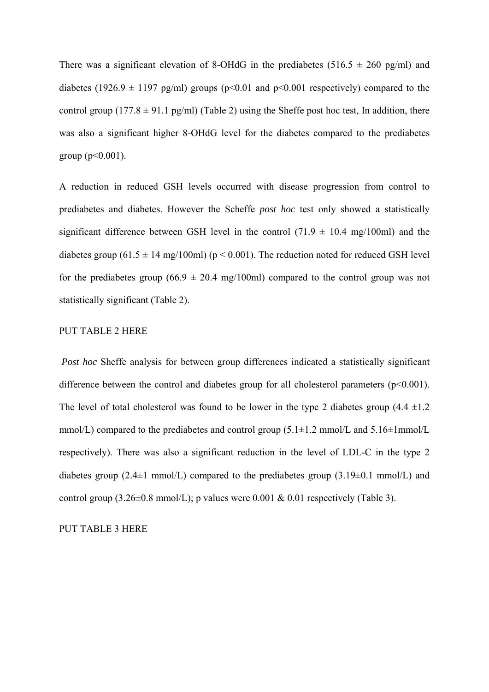There was a significant elevation of 8-OHdG in the prediabetes (516.5  $\pm$  260 pg/ml) and diabetes (1926.9  $\pm$  1197 pg/ml) groups (p<0.01 and p<0.001 respectively) compared to the control group (177.8  $\pm$  91.1 pg/ml) (Table 2) using the Sheffe post hoc test, In addition, there was also a significant higher 8-OHdG level for the diabetes compared to the prediabetes group ( $p < 0.001$ ).

A reduction in reduced GSH levels occurred with disease progression from control to prediabetes and diabetes. However the Scheffe *post hoc* test only showed a statistically significant difference between GSH level in the control  $(71.9 \pm 10.4 \text{ mg}/100 \text{ml})$  and the diabetes group (61.5  $\pm$  14 mg/100ml) (p < 0.001). The reduction noted for reduced GSH level for the prediabetes group (66.9  $\pm$  20.4 mg/100ml) compared to the control group was not statistically significant (Table 2).

### PUT TABLE 2 HERE

*Post hoc* Sheffe analysis for between group differences indicated a statistically significant difference between the control and diabetes group for all cholesterol parameters  $(p<0.001)$ . The level of total cholesterol was found to be lower in the type 2 diabetes group  $(4.4 \pm 1.2)$ mmol/L) compared to the prediabetes and control group  $(5.1 \pm 1.2 \text{ mmol/L and } 5.16 \pm 1 \text{ mmol/L}$ respectively). There was also a significant reduction in the level of LDL-C in the type 2 diabetes group  $(2.4\pm1 \text{ mmol/L})$  compared to the prediabetes group  $(3.19\pm0.1 \text{ mmol/L})$  and control group  $(3.26\pm0.8 \text{ mmol/L})$ ; p values were 0.001 & 0.01 respectively (Table 3).

PUT TABLE 3 HERE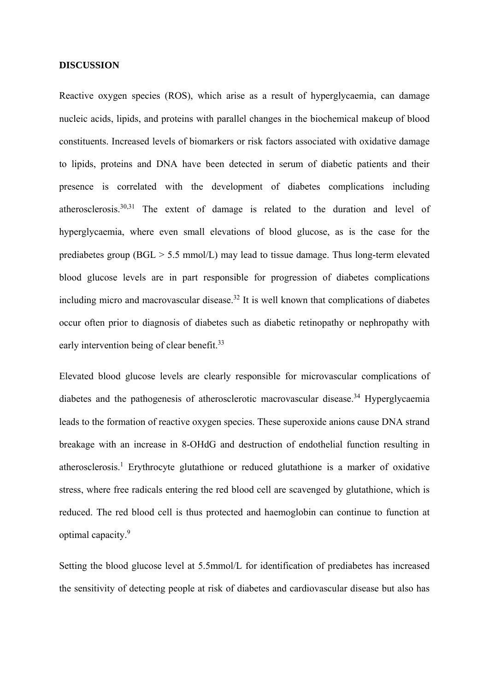#### **DISCUSSION**

Reactive oxygen species (ROS), which arise as a result of hyperglycaemia, can damage nucleic acids, lipids, and proteins with parallel changes in the biochemical makeup of blood constituents. Increased levels of biomarkers or risk factors associated with oxidative damage to lipids, proteins and DNA have been detected in serum of diabetic patients and their presence is correlated with the development of diabetes complications including atherosclerosis.30,31 The extent of damage is related to the duration and level of hyperglycaemia, where even small elevations of blood glucose, as is the case for the prediabetes group ( $BGL > 5.5$  mmol/L) may lead to tissue damage. Thus long-term elevated blood glucose levels are in part responsible for progression of diabetes complications including micro and macrovascular disease.<sup>32</sup> It is well known that complications of diabetes occur often prior to diagnosis of diabetes such as diabetic retinopathy or nephropathy with early intervention being of clear benefit.<sup>33</sup>

Elevated blood glucose levels are clearly responsible for microvascular complications of diabetes and the pathogenesis of atherosclerotic macrovascular disease.<sup>34</sup> Hyperglycaemia leads to the formation of reactive oxygen species. These superoxide anions cause DNA strand breakage with an increase in 8-OHdG and destruction of endothelial function resulting in atherosclerosis.<sup>1</sup> Erythrocyte glutathione or reduced glutathione is a marker of oxidative stress, where free radicals entering the red blood cell are scavenged by glutathione, which is reduced. The red blood cell is thus protected and haemoglobin can continue to function at optimal capacity.9

Setting the blood glucose level at 5.5mmol/L for identification of prediabetes has increased the sensitivity of detecting people at risk of diabetes and cardiovascular disease but also has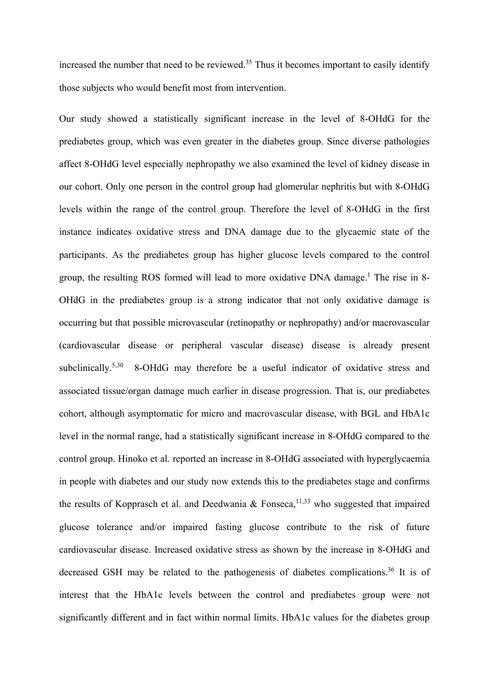increased the number that need to be reviewed.<sup>35</sup> Thus it becomes important to easily identify those subjects who would benefit most from intervention.

Our study showed a statistically significant increase in the level of 8-OHdG for the prediabetes group, which was even greater in the diabetes group. Since diverse pathologies affect 8-OHdG level especially nephropathy we also examined the level of kidney disease in our cohort. Only one person in the control group had glomerular nephritis but with 8-OHdG levels within the range of the control group. Therefore the level of 8-OHdG in the first instance indicates oxidative stress and DNA damage due to the glycaemic state of the participants. As the prediabetes group has higher glucose levels compared to the control group, the resulting ROS formed will lead to more oxidative DNA damage.<sup>1</sup> The rise in 8-OHdG in the prediabetes group is a strong indicator that not only oxidative damage is occurring but that possible microvascular (retinopathy or nephropathy) and/or macrovascular (cardiovascular disease or peripheral vascular disease) disease is already present subclinically.<sup>5,30</sup> 8-OHdG may therefore be a useful indicator of oxidative stress and associated tissue/organ damage much earlier in disease progression. That is, our prediabetes cohort, although asymptomatic for micro and macrovascular disease, with BGL and HbA1c level in the normal range, had a statistically significant increase in 8-OHdG compared to the control group. Hinoko et al. reported an increase in 8-OHdG associated with hyperglycaemia in people with diabetes and our study now extends this to the prediabetes stage and confirms the results of Kopprasch et al. and Deedwania & Fonseca,<sup>11,33</sup> who suggested that impaired glucose tolerance and/or impaired fasting glucose contribute to the risk of future cardiovascular disease. Increased oxidative stress as shown by the increase in 8-OHdG and decreased GSH may be related to the pathogenesis of diabetes complications.<sup>36</sup> It is of interest that the HbA1c levels between the control and prediabetes group were not significantly different and in fact within normal limits. HbA1c values for the diabetes group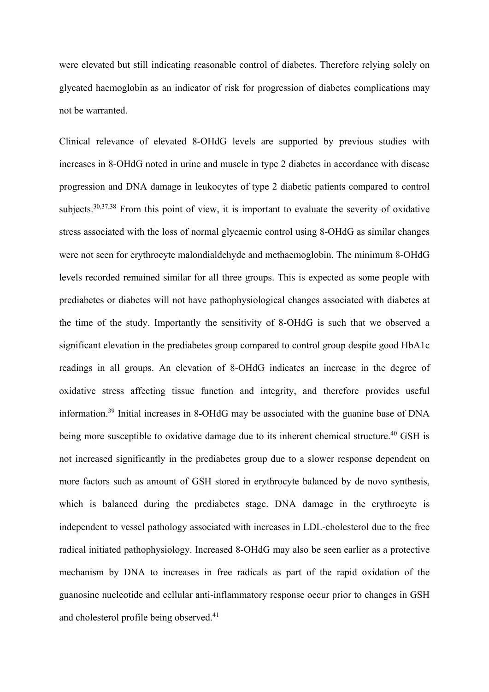were elevated but still indicating reasonable control of diabetes. Therefore relying solely on glycated haemoglobin as an indicator of risk for progression of diabetes complications may not be warranted.

Clinical relevance of elevated 8-OHdG levels are supported by previous studies with increases in 8-OHdG noted in urine and muscle in type 2 diabetes in accordance with disease progression and DNA damage in leukocytes of type 2 diabetic patients compared to control subjects.<sup>30,37,38</sup> From this point of view, it is important to evaluate the severity of oxidative stress associated with the loss of normal glycaemic control using 8-OHdG as similar changes were not seen for erythrocyte malondialdehyde and methaemoglobin. The minimum 8-OHdG levels recorded remained similar for all three groups. This is expected as some people with prediabetes or diabetes will not have pathophysiological changes associated with diabetes at the time of the study. Importantly the sensitivity of 8-OHdG is such that we observed a significant elevation in the prediabetes group compared to control group despite good HbA1c readings in all groups. An elevation of 8-OHdG indicates an increase in the degree of oxidative stress affecting tissue function and integrity, and therefore provides useful information.39 Initial increases in 8-OHdG may be associated with the guanine base of DNA being more susceptible to oxidative damage due to its inherent chemical structure.<sup>40</sup> GSH is not increased significantly in the prediabetes group due to a slower response dependent on more factors such as amount of GSH stored in erythrocyte balanced by de novo synthesis, which is balanced during the prediabetes stage. DNA damage in the erythrocyte is independent to vessel pathology associated with increases in LDL-cholesterol due to the free radical initiated pathophysiology. Increased 8-OHdG may also be seen earlier as a protective mechanism by DNA to increases in free radicals as part of the rapid oxidation of the guanosine nucleotide and cellular anti-inflammatory response occur prior to changes in GSH and cholesterol profile being observed.<sup>41</sup>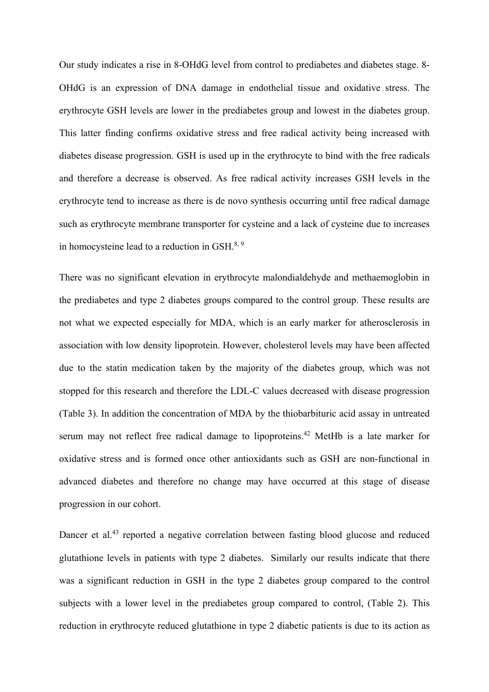Our study indicates a rise in 8-OHdG level from control to prediabetes and diabetes stage. 8- OHdG is an expression of DNA damage in endothelial tissue and oxidative stress. The erythrocyte GSH levels are lower in the prediabetes group and lowest in the diabetes group. This latter finding confirms oxidative stress and free radical activity being increased with diabetes disease progression. GSH is used up in the erythrocyte to bind with the free radicals and therefore a decrease is observed. As free radical activity increases GSH levels in the erythrocyte tend to increase as there is de novo synthesis occurring until free radical damage such as erythrocyte membrane transporter for cysteine and a lack of cysteine due to increases in homocysteine lead to a reduction in GSH.8, 9

There was no significant elevation in erythrocyte malondialdehyde and methaemoglobin in the prediabetes and type 2 diabetes groups compared to the control group. These results are not what we expected especially for MDA, which is an early marker for atherosclerosis in association with low density lipoprotein. However, cholesterol levels may have been affected due to the statin medication taken by the majority of the diabetes group, which was not stopped for this research and therefore the LDL-C values decreased with disease progression (Table 3). In addition the concentration of MDA by the thiobarbituric acid assay in untreated serum may not reflect free radical damage to lipoproteins.<sup>42</sup> MetHb is a late marker for oxidative stress and is formed once other antioxidants such as GSH are non-functional in advanced diabetes and therefore no change may have occurred at this stage of disease progression in our cohort.

Dancer et al.<sup>43</sup> reported a negative correlation between fasting blood glucose and reduced glutathione levels in patients with type 2 diabetes. Similarly our results indicate that there was a significant reduction in GSH in the type 2 diabetes group compared to the control subjects with a lower level in the prediabetes group compared to control, (Table 2). This reduction in erythrocyte reduced glutathione in type 2 diabetic patients is due to its action as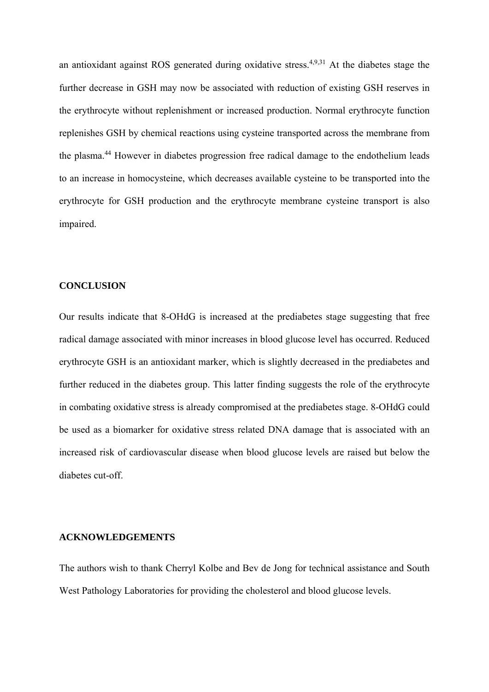an antioxidant against ROS generated during oxidative stress.<sup>4,9,31</sup> At the diabetes stage the further decrease in GSH may now be associated with reduction of existing GSH reserves in the erythrocyte without replenishment or increased production. Normal erythrocyte function replenishes GSH by chemical reactions using cysteine transported across the membrane from the plasma.44 However in diabetes progression free radical damage to the endothelium leads to an increase in homocysteine, which decreases available cysteine to be transported into the erythrocyte for GSH production and the erythrocyte membrane cysteine transport is also impaired.

### **CONCLUSION**

Our results indicate that 8-OHdG is increased at the prediabetes stage suggesting that free radical damage associated with minor increases in blood glucose level has occurred. Reduced erythrocyte GSH is an antioxidant marker, which is slightly decreased in the prediabetes and further reduced in the diabetes group. This latter finding suggests the role of the erythrocyte in combating oxidative stress is already compromised at the prediabetes stage. 8-OHdG could be used as a biomarker for oxidative stress related DNA damage that is associated with an increased risk of cardiovascular disease when blood glucose levels are raised but below the diabetes cut-off.

#### **ACKNOWLEDGEMENTS**

The authors wish to thank Cherryl Kolbe and Bev de Jong for technical assistance and South West Pathology Laboratories for providing the cholesterol and blood glucose levels.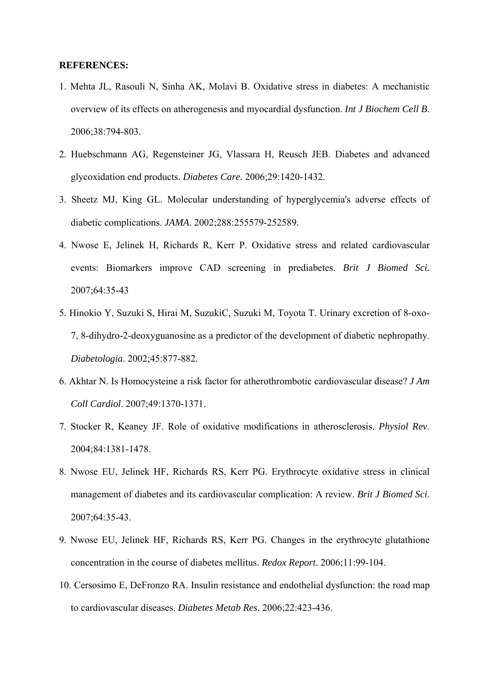#### **REFERENCES:**

- 1. Mehta JL, Rasouli N, Sinha AK, Molavi B. Oxidative stress in diabetes: A mechanistic overview of its effects on atherogenesis and myocardial dysfunction. *Int J Biochem Cell B*. 2006;38:794-803.
- 2. Huebschmann AG, Regensteiner JG, Vlassara H, Reusch JEB. Diabetes and advanced glycoxidation end products. *Diabetes Care.* 2006;29:1420-1432.
- 3. Sheetz MJ, King GL. Molecular understanding of hyperglycemia's adverse effects of diabetic complications. *JAMA*. 2002;288:255579-252589.
- 4. Nwose E, Jelinek H, Richards R, Kerr P. Oxidative stress and related cardiovascular events: Biomarkers improve CAD screening in prediabetes. *Brit J Biomed Sci.* 2007;64:35-43
- 5. Hinokio Y, Suzuki S, Hirai M, SuzukiC, Suzuki M, Toyota T. Urinary excretion of 8-oxo-7, 8-dihydro-2-deoxyguanosine as a predictor of the development of diabetic nephropathy. *Diabetologia*. 2002;45:877-882.
- 6. Akhtar N. Is Homocysteine a risk factor for atherothrombotic cardiovascular disease? *J Am Coll Cardiol*. 2007;49:1370-1371.
- 7. Stocker R, Keaney JF. Role of oxidative modifications in atherosclerosis. *Physiol Rev*. 2004;84:1381-1478.
- 8. Nwose EU, Jelinek HF, Richards RS, Kerr PG. Erythrocyte oxidative stress in clinical management of diabetes and its cardiovascular complication: A review. *Brit J Biomed Sci*. 2007;64:35-43.
- 9. Nwose EU, Jelinek HF, Richards RS, Kerr PG. Changes in the erythrocyte glutathione concentration in the course of diabetes mellitus. *Redox Report*. 2006;11:99-104.
- 10. Cersosimo E, DeFronzo RA. Insulin resistance and endothelial dysfunction: the road map to cardiovascular diseases. *Diabetes Metab Res*. 2006;22:423-436.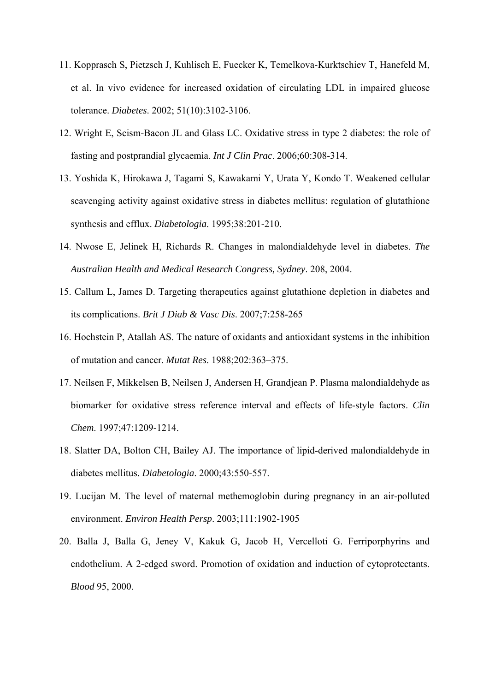- 11. Kopprasch S, Pietzsch J, Kuhlisch E, Fuecker K, Temelkova-Kurktschiev T, Hanefeld M, et al. In vivo evidence for increased oxidation of circulating LDL in impaired glucose tolerance. *Diabetes*. 2002; 51(10):3102-3106.
- 12. Wright E, Scism-Bacon JL and Glass LC. Oxidative stress in type 2 diabetes: the role of fasting and postprandial glycaemia. *Int J Clin Prac*. 2006;60:308-314.
- 13. Yoshida K, Hirokawa J, Tagami S, Kawakami Y, Urata Y, Kondo T. Weakened cellular scavenging activity against oxidative stress in diabetes mellitus: regulation of glutathione synthesis and efflux. *Diabetologia*. 1995;38:201-210.
- 14. Nwose E, Jelinek H, Richards R. Changes in malondialdehyde level in diabetes. *The Australian Health and Medical Research Congress, Sydney*. 208, 2004.
- 15. Callum L, James D. Targeting therapeutics against glutathione depletion in diabetes and its complications. *Brit J Diab & Vasc Dis*. 2007;7:258-265
- 16. Hochstein P, Atallah AS. The nature of oxidants and antioxidant systems in the inhibition of mutation and cancer. *Mutat Res*. 1988;202:363–375.
- 17. Neilsen F, Mikkelsen B, Neilsen J, Andersen H, Grandjean P. Plasma malondialdehyde as biomarker for oxidative stress reference interval and effects of life-style factors. *Clin Chem*. 1997;47:1209-1214.
- 18. Slatter DA, Bolton CH, Bailey AJ. The importance of lipid-derived malondialdehyde in diabetes mellitus. *Diabetologia*. 2000;43:550-557.
- 19. Lucijan M. The level of maternal methemoglobin during pregnancy in an air-polluted environment. *Environ Health Persp*. 2003;111:1902-1905
- 20. Balla J, Balla G, Jeney V, Kakuk G, Jacob H, Vercelloti G. Ferriporphyrins and endothelium. A 2-edged sword. Promotion of oxidation and induction of cytoprotectants. *Blood* 95, 2000.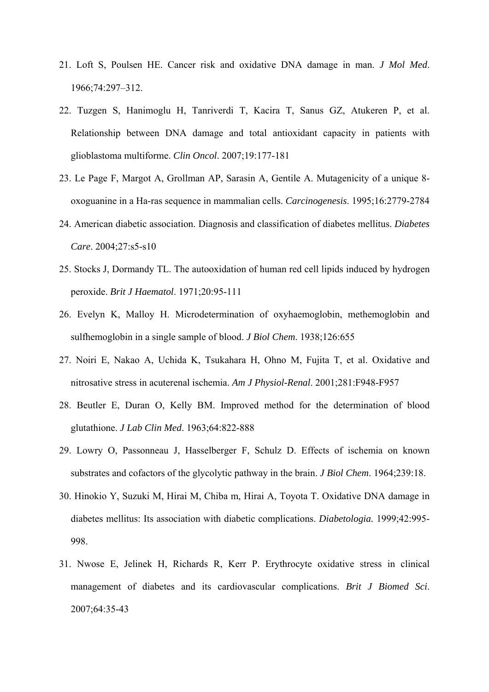- 21. Loft S, Poulsen HE. Cancer risk and oxidative DNA damage in man. *J Mol Med*. 1966;74:297–312.
- 22. Tuzgen S, Hanimoglu H, Tanriverdi T, Kacira T, Sanus GZ, Atukeren P, et al. Relationship between DNA damage and total antioxidant capacity in patients with glioblastoma multiforme. *Clin Oncol*. 2007;19:177-181
- 23. Le Page F, Margot A, Grollman AP, Sarasin A, Gentile A. Mutagenicity of a unique 8 oxoguanine in a Ha-ras sequence in mammalian cells. *Carcinogenesis*. 1995;16:2779-2784
- 24. American diabetic association. Diagnosis and classification of diabetes mellitus. *Diabetes Care*. 2004;27:s5-s10
- 25. Stocks J, Dormandy TL. The autooxidation of human red cell lipids induced by hydrogen peroxide. *Brit J Haematol*. 1971;20:95-111
- 26. Evelyn K, Malloy H. Microdetermination of oxyhaemoglobin, methemoglobin and sulfhemoglobin in a single sample of blood. *J Biol Chem*. 1938;126:655
- 27. Noiri E, Nakao A, Uchida K, Tsukahara H, Ohno M, Fujita T, et al. Oxidative and nitrosative stress in acuterenal ischemia. *Am J Physiol-Renal*. 2001;281:F948-F957
- 28. Beutler E, Duran O, Kelly BM. Improved method for the determination of blood glutathione. *J Lab Clin Med*. 1963;64:822-888
- 29. Lowry O, Passonneau J, Hasselberger F, Schulz D. Effects of ischemia on known substrates and cofactors of the glycolytic pathway in the brain. *J Biol Chem*. 1964;239:18.
- 30. Hinokio Y, Suzuki M, Hirai M, Chiba m, Hirai A, Toyota T. Oxidative DNA damage in diabetes mellitus: Its association with diabetic complications. *Diabetologia.* 1999;42:995- 998.
- 31. Nwose E, Jelinek H, Richards R, Kerr P. Erythrocyte oxidative stress in clinical management of diabetes and its cardiovascular complications. *Brit J Biomed Sci*. 2007;64:35-43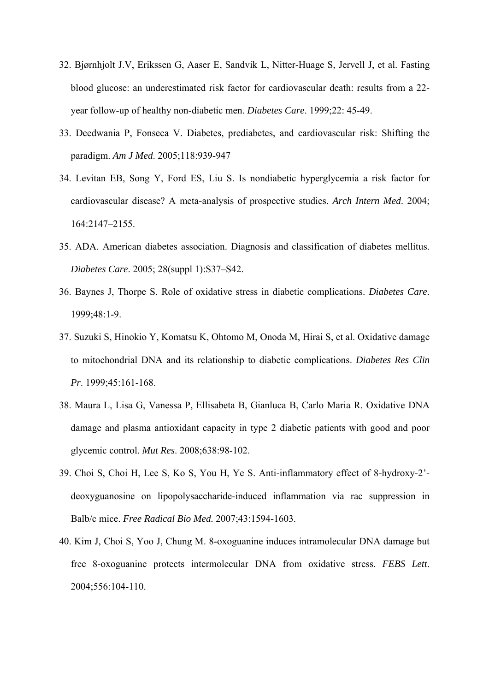- 32. Bjørnhjolt J.V, Erikssen G, Aaser E, Sandvik L, Nitter-Huage S, Jervell J, et al. Fasting blood glucose: an underestimated risk factor for cardiovascular death: results from a 22 year follow-up of healthy non-diabetic men. *Diabetes Care*. 1999;22: 45-49.
- 33. Deedwania P, Fonseca V. Diabetes, prediabetes, and cardiovascular risk: Shifting the paradigm. *Am J Med*. 2005;118:939-947
- 34. Levitan EB, Song Y, Ford ES, Liu S. Is nondiabetic hyperglycemia a risk factor for cardiovascular disease? A meta-analysis of prospective studies. *Arch Intern Med*. 2004; 164:2147–2155.
- 35. ADA. American diabetes association. Diagnosis and classification of diabetes mellitus. *Diabetes Care*. 2005; 28(suppl 1):S37–S42.
- 36. Baynes J, Thorpe S. Role of oxidative stress in diabetic complications. *Diabetes Care*. 1999;48:1-9.
- 37. Suzuki S, Hinokio Y, Komatsu K, Ohtomo M, Onoda M, Hirai S, et al. Oxidative damage to mitochondrial DNA and its relationship to diabetic complications. *Diabetes Res Clin Pr*. 1999;45:161-168.
- 38. Maura L, Lisa G, Vanessa P, Ellisabeta B, Gianluca B, Carlo Maria R. Oxidative DNA damage and plasma antioxidant capacity in type 2 diabetic patients with good and poor glycemic control. *Mut Res*. 2008;638:98-102.
- 39. Choi S, Choi H, Lee S, Ko S, You H, Ye S. Anti-inflammatory effect of 8-hydroxy-2' deoxyguanosine on lipopolysaccharide-induced inflammation via rac suppression in Balb/c mice. *Free Radical Bio Med.* 2007;43:1594-1603.
- 40. Kim J, Choi S, Yoo J, Chung M. 8-oxoguanine induces intramolecular DNA damage but free 8-oxoguanine protects intermolecular DNA from oxidative stress. *FEBS Lett*. 2004;556:104-110.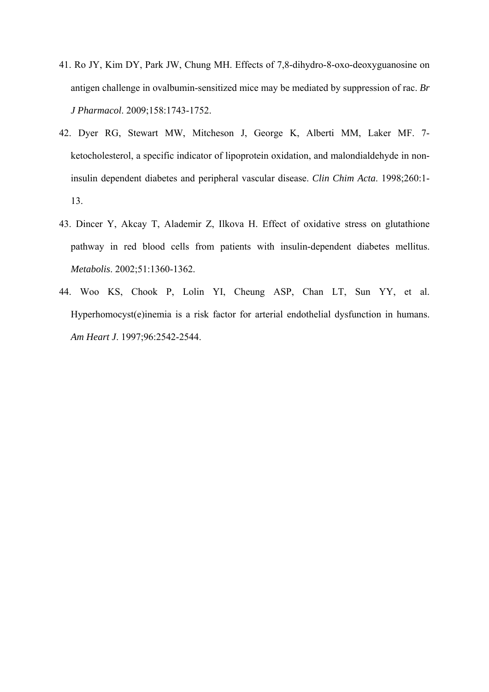- 41. Ro JY, Kim DY, Park JW, Chung MH. Effects of 7,8-dihydro-8-oxo-deoxyguanosine on antigen challenge in ovalbumin-sensitized mice may be mediated by suppression of rac. *Br J Pharmacol*. 2009;158:1743-1752.
- 42. Dyer RG, Stewart MW, Mitcheson J, George K, Alberti MM, Laker MF. 7 ketocholesterol, a specific indicator of lipoprotein oxidation, and malondialdehyde in noninsulin dependent diabetes and peripheral vascular disease. *Clin Chim Acta*. 1998;260:1- 13.
- 43. Dincer Y, Akcay T, Alademir Z, Ilkova H. Effect of oxidative stress on glutathione pathway in red blood cells from patients with insulin-dependent diabetes mellitus. *Metabolis*. 2002;51:1360-1362.
- 44. Woo KS, Chook P, Lolin YI, Cheung ASP, Chan LT, Sun YY, et al. Hyperhomocyst(e)inemia is a risk factor for arterial endothelial dysfunction in humans. *Am Heart J*. 1997;96:2542-2544.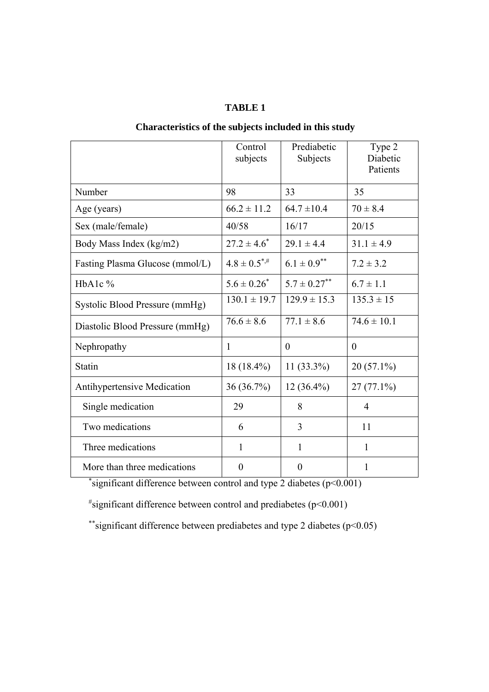### **TABLE 1**

# Control subjects Prediabetic Subjects Type 2 Diabetic Patients Number 98 33 35 Age (years)  $66.2 \pm 11.2 \pm 64.7 \pm 10.4 \pm 70 \pm 8.4$ Sex (male/female) 40/58 16/17 20/15 Body Mass Index (kg/m2)  $27.2 \pm 4.6^*$  $29.1 \pm 4.4$   $31.1 \pm 4.9$ Fasting Plasma Glucose (mmol/L)  $4.8 \pm 0.5^{*,\#}$   $6.1 \pm 0.9^{**}$   $7.2 \pm 3.2$ HbA1c %  $5.6 \pm 0.26^*$  $5.7 \pm 0.27^{**}$  6.7  $\pm$  1.1 Systolic Blood Pressure (mmHg)  $130.1 \pm 19.7$  129.9  $\pm 15.3$  135.3  $\pm 15$ Diastolic Blood Pressure (mmHg)  $76.6 \pm 8.6$   $77.1 \pm 8.6$   $74.6 \pm 10.1$ Nephropathy 1 0 0 Statin  $18 (18.4\%)$  11 (33.3%) 20 (57.1%) Antihypertensive Medication 36 (36.7%) 12 (36.4%) 27 (77.1%) Single medication  $\begin{array}{|c|c|c|c|c|c|} \hline 29 & & 8 & & 4 \ \hline \end{array}$ Two medications  $\begin{array}{|c|c|c|c|c|c|c|c|c|} \hline 6 & 3 & 11 \end{array}$ Three medications 1 1 1 1 1

### **Characteristics of the subjects included in this study**

More than three medications  $\begin{vmatrix} 0 & 1 \\ 0 & 1 \end{vmatrix}$ \*significant difference between control and type 2 diabetes  $(p<0.001)$ 

 $*$ significant difference between control and prediabetes ( $p$ <0.001)

\*\*significant difference between prediabetes and type 2 diabetes ( $p<0.05$ )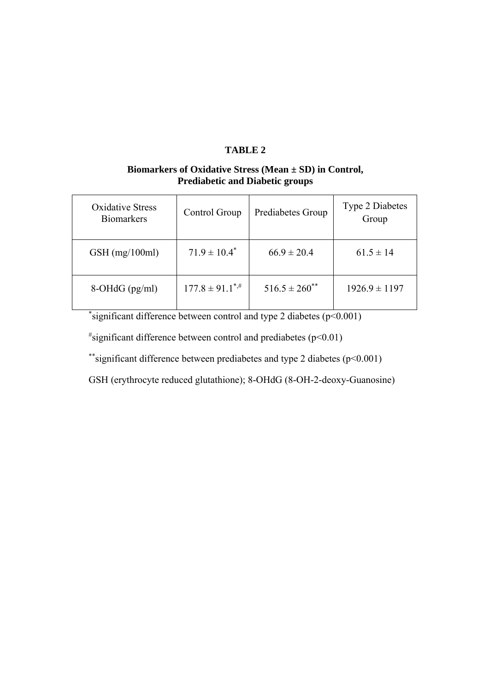# **TABLE 2**

# **Biomarkers of Oxidative Stress (Mean ± SD) in Control, Prediabetic and Diabetic groups**

| Oxidative Stress<br><b>Biomarkers</b> | Control Group                   | Prediabetes Group    | <b>Type 2 Diabetes</b><br>Group |
|---------------------------------------|---------------------------------|----------------------|---------------------------------|
| $GSH$ (mg/100ml)                      | $71.9 \pm 10.4^*$               | $66.9 \pm 20.4$      | $61.5 \pm 14$                   |
| $8-OHdG$ (pg/ml)                      | $177.8 \pm 91.1$ <sup>*,#</sup> | $516.5 \pm 260^{**}$ | $1926.9 \pm 1197$               |

\* significant difference between control and type 2 diabetes (p<0.001)

 $*$ significant difference between control and prediabetes (p<0.01)

\*\*significant difference between prediabetes and type 2 diabetes (p<0.001)

GSH (erythrocyte reduced glutathione); 8-OHdG (8-OH-2-deoxy-Guanosine)